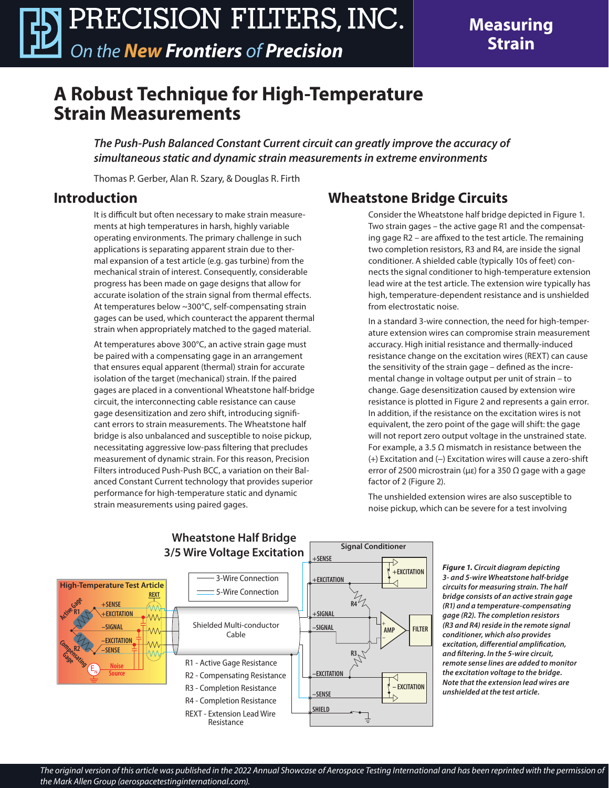**Measuring Strain**

## **A Robust Technique for High-Temperature Strain Measurements**

*The Push-Push Balanced Constant Current circuit can greatly improve the accuracy of simultaneous static and dynamic strain measurements in extreme environments*

Thomas P. Gerber, Alan R. Szary, & Douglas R. Firth

#### **Introduction**

It is difficult but often necessary to make strain measurements at high temperatures in harsh, highly variable operating environments. The primary challenge in such applications is separating apparent strain due to thermal expansion of a test article (e.g. gas turbine) from the mechanical strain of interest. Consequently, considerable progress has been made on gage designs that allow for accurate isolation of the strain signal from thermal effects. At temperatures below ~300°C, self-compensating strain gages can be used, which counteract the apparent thermal strain when appropriately matched to the gaged material.

At temperatures above 300°C, an active strain gage must be paired with a compensating gage in an arrangement that ensures equal apparent (thermal) strain for accurate isolation of the target (mechanical) strain. If the paired gages are placed in a conventional Wheatstone half-bridge circuit, the interconnecting cable resistance can cause gage desensitization and zero shift, introducing significant errors to strain measurements. The Wheatstone half bridge is also unbalanced and susceptible to noise pickup, necessitating aggressive low-pass filtering that precludes measurement of dynamic strain. For this reason, Precision Filters introduced Push-Push BCC, a variation on their Balanced Constant Current technology that provides superior performance for high-temperature static and dynamic strain measurements using paired gages.

### **Wheatstone Bridge Circuits**

Consider the Wheatstone half bridge depicted in Figure 1. Two strain gages – the active gage R1 and the compensating gage R2 – are affixed to the test article. The remaining two completion resistors, R3 and R4, are inside the signal conditioner. A shielded cable (typically 10s of feet) connects the signal conditioner to high-temperature extension lead wire at the test article. The extension wire typically has high, temperature-dependent resistance and is unshielded from electrostatic noise.

In a standard 3-wire connection, the need for high-temperature extension wires can compromise strain measurement accuracy. High initial resistance and thermally-induced resistance change on the excitation wires (REXT) can cause the sensitivity of the strain gage – defined as the incremental change in voltage output per unit of strain – to change. Gage desensitization caused by extension wire resistance is plotted in Figure 2 and represents a gain error. In addition, if the resistance on the excitation wires is not equivalent, the zero point of the gage will shift: the gage will not report zero output voltage in the unstrained state. For example, a 3.5  $\Omega$  mismatch in resistance between the (+) Excitation and (−) Excitation wires will cause a zero-shift error of 2500 microstrain (με) for a 350  $\Omega$  gage with a gage factor of 2 (Figure 2).

The unshielded extension wires are also susceptible to noise pickup, which can be severe for a test involving



*Figure 1. Circuit diagram depicting 3- and 5-wire Wheatstone half-bridge circuits for measuring strain. The half bridge consists of an active strain gage (R1) and a temperature-compensating gage (R2). The completion resistors (R3 and R4) reside in the remote signal conditioner, which also provides excitation, differential amplification, and filtering. In the 5-wire circuit, remote sense lines are added to monitor the excitation voltage to the bridge. Note that the extension lead wires are unshielded at the test article.*